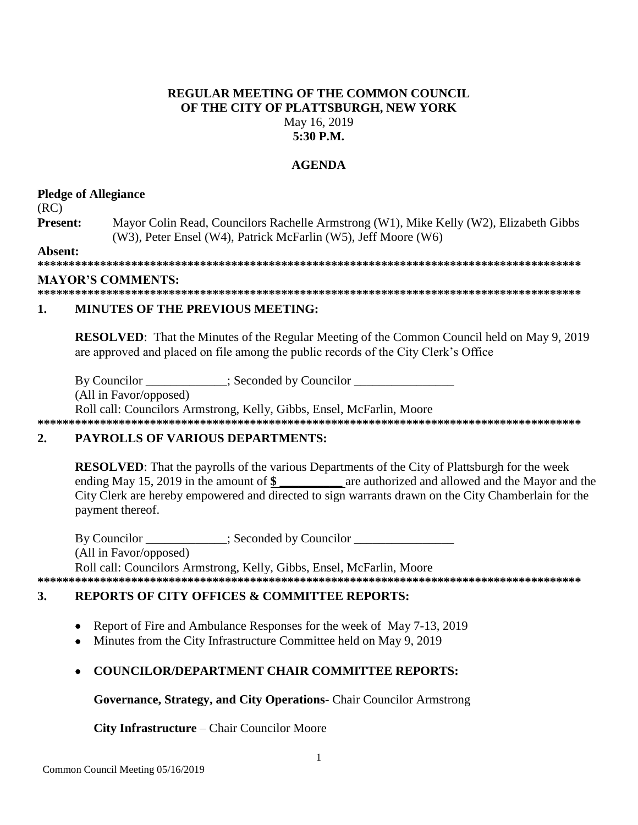### **REGULAR MEETING OF THE COMMON COUNCIL** OF THE CITY OF PLATTSBURGH, NEW YORK May 16, 2019  $5:30$  P.M.

### **AGENDA**

### **Pledge of Allegiance**

 $(RC)$ 

Present: Mayor Colin Read, Councilors Rachelle Armstrong (W1), Mike Kelly (W2), Elizabeth Gibbs (W3), Peter Ensel (W4), Patrick McFarlin (W5), Jeff Moore (W6)

Absent:

### **MAYOR'S COMMENTS:**

#### $\mathbf{1}$ **MINUTES OF THE PREVIOUS MEETING:**

**RESOLVED:** That the Minutes of the Regular Meeting of the Common Council held on May 9, 2019 are approved and placed on file among the public records of the City Clerk's Office

By Councilor \_\_\_\_\_\_\_\_\_\_\_; Seconded by Councilor \_\_\_\_\_\_\_

(All in Favor/opposed)

Roll call: Councilors Armstrong, Kelly, Gibbs, Ensel, McFarlin, Moore 

#### $\overline{2}$ . **PAYROLLS OF VARIOUS DEPARTMENTS:**

**RESOLVED:** That the payrolls of the various Departments of the City of Plattsburgh for the week ending May 15, 2019 in the amount of \$ are authorized and allowed and the Mayor and the City Clerk are hereby empowered and directed to sign warrants drawn on the City Chamberlain for the payment thereof.

By Councilor : Seconded by Councilor (All in Favor/opposed) Roll call: Councilors Armstrong, Kelly, Gibbs, Ensel, McFarlin, Moore 

### **REPORTS OF CITY OFFICES & COMMITTEE REPORTS:** 3.

- Report of Fire and Ambulance Responses for the week of May 7-13, 2019  $\bullet$
- Minutes from the City Infrastructure Committee held on May 9, 2019

## **COUNCILOR/DEPARTMENT CHAIR COMMITTEE REPORTS:**

Governance, Strategy, and City Operations- Chair Councilor Armstrong

City Infrastructure – Chair Councilor Moore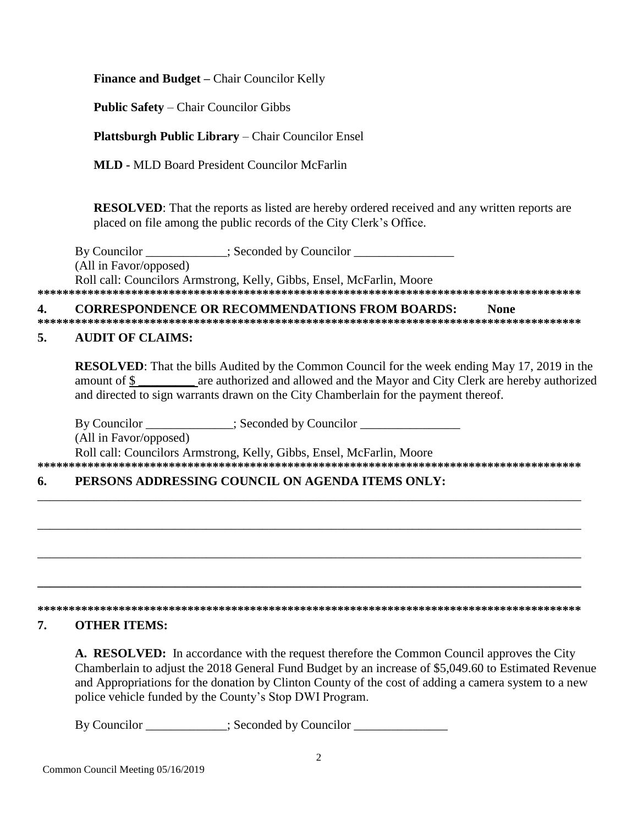Finance and Budget - Chair Councilor Kelly

**Public Safety – Chair Councilor Gibbs** 

**Plattsburgh Public Library – Chair Councilor Ensel** 

**MLD - MLD Board President Councilor McFarlin** 

**RESOLVED:** That the reports as listed are hereby ordered received and any written reports are placed on file among the public records of the City Clerk's Office.

By Councilor \_\_\_\_\_\_\_\_\_\_\_\_; Seconded by Councilor \_\_\_\_\_\_\_\_\_\_\_\_\_\_\_\_\_\_\_\_\_\_\_\_\_\_\_\_\_\_\_ (All in Favor/opposed) Roll call: Councilors Armstrong, Kelly, Gibbs, Ensel, McFarlin, Moore

#### $\overline{\mathbf{4}}$ . **CORRESPONDENCE OR RECOMMENDATIONS FROM BOARDS: None**

### **AUDIT OF CLAIMS:**  $5.$

**RESOLVED:** That the bills Audited by the Common Council for the week ending May 17, 2019 in the amount of \$ and directed to sign warrants drawn on the City Chamberlain for the payment thereof.

By Councilor \_\_\_\_\_\_\_\_\_\_\_\_\_; Seconded by Councilor \_\_\_\_\_\_\_\_\_\_\_\_\_\_\_\_\_\_\_\_\_\_\_\_\_\_\_\_\_\_ (All in Favor/opposed) Roll call: Councilors Armstrong, Kelly, Gibbs, Ensel, McFarlin, Moore 

#### PERSONS ADDRESSING COUNCIL ON AGENDA ITEMS ONLY: 6.

# 

#### 7. **OTHER ITEMS:**

A. RESOLVED: In accordance with the request therefore the Common Council approves the City Chamberlain to adjust the 2018 General Fund Budget by an increase of \$5,049.60 to Estimated Revenue and Appropriations for the donation by Clinton County of the cost of adding a camera system to a new police vehicle funded by the County's Stop DWI Program.

By Councilor : Seconded by Councilor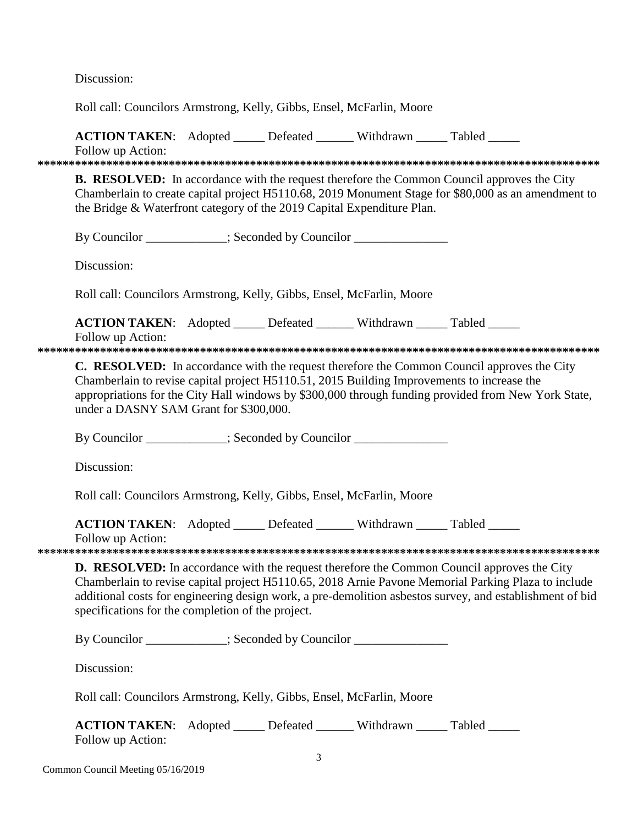Discussion:

Roll call: Councilors Armstrong, Kelly, Gibbs, Ensel, McFarlin, Moore

**ACTION TAKEN:** Adopted Defeated Withdrawn Tabled

Follow up Action: **\*\*\*\*\*\*\*\*\*\*\*\*\*\*\*\*\*\*\*\*\*\*\*\*\*\*\*\*\*\*\*\*\*\*\*\*\*\*\*\*\*\*\*\*\*\*\*\*\*\*\*\*\*\*\*\*\*\*\*\*\*\*\*\*\*\*\*\*\*\*\*\*\*\*\*\*\*\*\*\*\*\*\*\*\*\*\*\*\*\***

**B. RESOLVED:** In accordance with the request therefore the Common Council approves the City Chamberlain to create capital project H5110.68, 2019 Monument Stage for \$80,000 as an amendment to the Bridge & Waterfront category of the 2019 Capital Expenditure Plan.

By Councilor  $\qquad \qquad$ : Seconded by Councilor

Discussion:

Roll call: Councilors Armstrong, Kelly, Gibbs, Ensel, McFarlin, Moore

**ACTION TAKEN:** Adopted Defeated Withdrawn Tabled Follow up Action:

**\*\*\*\*\*\*\*\*\*\*\*\*\*\*\*\*\*\*\*\*\*\*\*\*\*\*\*\*\*\*\*\*\*\*\*\*\*\*\*\*\*\*\*\*\*\*\*\*\*\*\*\*\*\*\*\*\*\*\*\*\*\*\*\*\*\*\*\*\*\*\*\*\*\*\*\*\*\*\*\*\*\*\*\*\*\*\*\*\*\***

**C. RESOLVED:** In accordance with the request therefore the Common Council approves the City Chamberlain to revise capital project H5110.51, 2015 Building Improvements to increase the appropriations for the City Hall windows by \$300,000 through funding provided from New York State, under a DASNY SAM Grant for \$300,000.

By Councilor  $\qquad \qquad$  ; Seconded by Councilor  $\qquad \qquad$ 

Discussion:

Roll call: Councilors Armstrong, Kelly, Gibbs, Ensel, McFarlin, Moore

**ACTION TAKEN:** Adopted \_\_\_\_\_ Defeated \_\_\_\_\_\_ Withdrawn \_\_\_\_\_ Tabled \_\_\_\_\_

Follow up Action:

**\*\*\*\*\*\*\*\*\*\*\*\*\*\*\*\*\*\*\*\*\*\*\*\*\*\*\*\*\*\*\*\*\*\*\*\*\*\*\*\*\*\*\*\*\*\*\*\*\*\*\*\*\*\*\*\*\*\*\*\*\*\*\*\*\*\*\*\*\*\*\*\*\*\*\*\*\*\*\*\*\*\*\*\*\*\*\*\*\*\***

**D. RESOLVED:** In accordance with the request therefore the Common Council approves the City Chamberlain to revise capital project H5110.65, 2018 Arnie Pavone Memorial Parking Plaza to include additional costs for engineering design work, a pre-demolition asbestos survey, and establishment of bid specifications for the completion of the project.

By Councilor \_\_\_\_\_\_\_\_\_\_; Seconded by Councilor \_\_\_\_\_\_\_\_\_\_\_\_\_\_\_\_\_\_\_\_\_\_\_\_\_\_\_\_\_\_\_\_\_

Discussion:

Roll call: Councilors Armstrong, Kelly, Gibbs, Ensel, McFarlin, Moore

| <b>ACTION TAKEN:</b> Adopted | Defeated | Withdrawn | Tabled |
|------------------------------|----------|-----------|--------|
| Follow up Action:            |          |           |        |